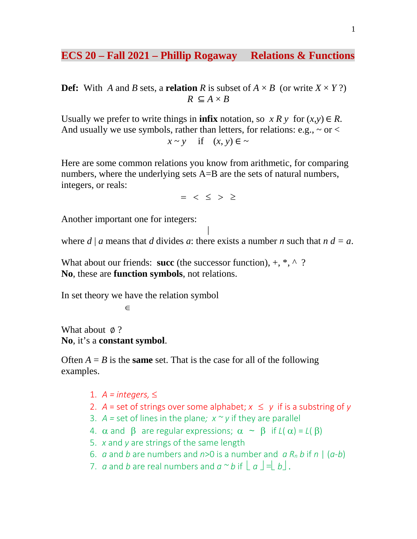## **ECS 20 – Fall 2021 – Phillip Rogaway Relations & Functions**

**Def:** With *A* and *B* sets, a **relation** *R* is subset of  $A \times B$  (or write  $X \times Y$ ?)  $R \subseteq A \times B$ 

Usually we prefer to write things in **infix** notation, so  $x R y$  for  $(x, y) \in R$ . And usually we use symbols, rather than letters, for relations: e.g.,  $\sim$  or  $<$  $x \sim y$  if  $(x, y) \in \sim$ 

Here are some common relations you know from arithmetic, for comparing numbers, where the underlying sets A=B are the sets of natural numbers, integers, or reals:

 $=$  <  $\leq$  >  $\geq$ 

Another important one for integers:

| where  $d \mid a$  means that  $d$  divides  $a$ : there exists a number  $n$  such that  $n d = a$ .

What about our friends: **succ** (the successor function),  $+$ ,  $*$ ,  $\wedge$  ? **No**, these are **function symbols**, not relations.

In set theory we have the relation symbol

∈

What about **⊘**? **No**, it's a **constant symbol**.

Often  $A = B$  is the **same** set. That is the case for all of the following examples.

- 1.  $A =$  *integers*,  $\leq$
- 2.  $A =$  set of strings over some alphabet;  $x \le y$  if is a substring of y
- 3.  $A =$  set of lines in the plane;  $x \sim y$  if they are parallel
- 4.  $\alpha$  and  $\beta$  are regular expressions;  $\alpha \sim \beta$  if  $L(\alpha) = L(\beta)$
- 5. *x* and *y* are strings of the same length
- 6. *a* and *b* are numbers and *n*>0 is a number and  $a R_n b$  if *n* |  $(a-b)$
- 7. *a* and *b* are real numbers and  $a \sim b$  if  $|a| = |b|$ .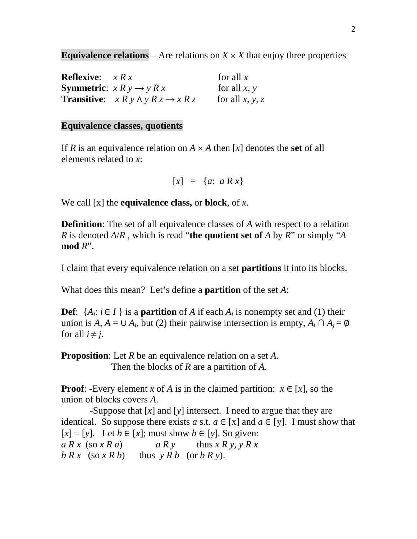**Equivalence relations** – Are relations on  $X \times X$  that enjoy three properties

| <b>Reflexive:</b> $x R x$ |                                                           | for all $x$     |
|---------------------------|-----------------------------------------------------------|-----------------|
|                           | <b>Symmetric:</b> $x R y \rightarrow y R x$               | for all $x, y$  |
|                           | <b>Transitive:</b> $x R y \wedge y R z \rightarrow x R z$ | for all x, y, z |

#### **Equivalence classes, quotients**

If *R* is an equivalence relation on  $A \times A$  then [x] denotes the **set** of all elements related to *x*:

 $[x] = {a: a R x}$ 

We call [x] the **equivalence class,** or **block**, of *x*.

**Definition**: The set of all equivalence classes of A with respect to a relation *R* is denoted *A*/*R* , which is read "**the quotient set of** *A* by *R*" or simply "*A* **mod** *R*".

I claim that every equivalence relation on a set **partitions** it into its blocks.

What does this mean? Let's define a **partition** of the set *A*:

**Def**:  $\{A_i: i \in I\}$  is a **partition** of *A* if each  $A_i$  is nonempty set and (1) their union is  $A, A = \cup A_i$ , but (2) their pairwise intersection is empty,  $A_i \cap A_j = \emptyset$ for all  $i \neq j$ .

**Proposition**: Let *R* be an equivalence relation on a set *A*. Then the blocks of *R* are a partition of *A*.

**Proof:** -Every element *x* of *A* is in the claimed partition:  $x \in [x]$ , so the union of blocks covers *A*.

 -Suppose that [*x*] and [*y*] intersect. I need to argue that they are identical. So suppose there exists *a* s.t.  $a \in [x]$  and  $a \in [y]$ . I must show that  $[x] = [y]$ . Let  $b \in [x]$ ; must show  $b \in [y]$ . So given:  $a R x$  (so  $x R a$ )  $a R y$  thus  $x R y$ ,  $y R x$  $b R x$  (so  $x R b$ ) thus  $y R b$  (or  $b R y$ ).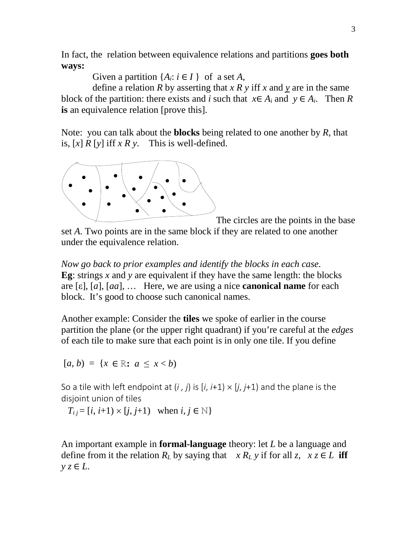In fact, the relation between equivalence relations and partitions **goes both ways:**

Given a partition  $\{A_i: i \in I\}$  of a set *A*,

define a relation *R* by asserting that  $x R y$  iff  $x$  and  $y$  are in the same block of the partition: there exists and *i* such that  $x \in A_i$  and  $y \in A_i$ . Then R **is** an equivalence relation [prove this].

Note: you can talk about the **blocks** being related to one another by *R*, that is,  $[x]$  *R*  $[y]$  iff *x R y*. This is well-defined.



The circles are the points in the base

set *A*. Two points are in the same block if they are related to one another under the equivalence relation.

*Now go back to prior examples and identify the blocks in each case.* **Eg**: strings *x* and *y* are equivalent if they have the same length: the blocks are [ε], [*a*], [*aa*], … Here, we are using a nice **canonical name** for each block. It's good to choose such canonical names.

Another example: Consider the **tiles** we spoke of earlier in the course partition the plane (or the upper right quadrant) if you're careful at the *edges* of each tile to make sure that each point is in only one tile. If you define

 $[a, b) = \{x \in \mathbb{R}: a \leq x < b\}$ 

So a tile with left endpoint at  $(i, j)$  is  $[i, i+1] \times [j, i+1]$  and the plane is the disjoint union of tiles

*T*<sub>*i*</sub>  $=[i, i+1) \times [j, j+1)$  when  $i, j \in \mathbb{N}$ 

An important example in **formal-language** theory: let *L* be a language and define from it the relation  $R_L$  by saying that  $x R_L y$  if for all  $z, x \in L$  iff *y z* ∈ *L*.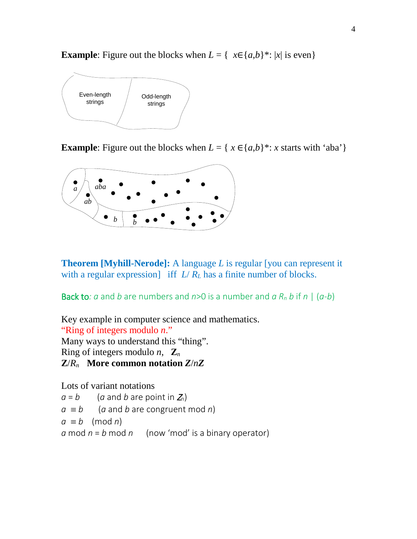**Example**: Figure out the blocks when  $L = \{ x \in \{a,b\}^* : |x| \text{ is even} \}$ 



**Example**: Figure out the blocks when  $L = \{ x \in \{a,b\}^*: x \text{ starts with 'aba'} \}$ 



**Theorem [Myhill-Nerode]:** A language *L* is regular [you can represent it with a regular expression] iff  $L/R_L$  has a finite number of blocks.

Back to: *a* and *b* are numbers and  $n>0$  is a number and *a*  $R_n$  *b* if *n* |  $(a-b)$ 

Key example in computer science and mathematics.

"Ring of integers modulo *n*."

Many ways to understand this "thing".

Ring of integers modulo *n*,  $\mathbf{Z}_n$ 

**Z**/*Rn* **More common notation** *Z*/*nZ*

Lots of variant notations

 $a = b$  (*a* and *b* are point in  $Z_n$ )

$$
a \equiv b
$$
 (*a* and *b* are congruent mod *n*)

$$
a \equiv b \pmod{n}
$$

*a* mod  $n = b$  mod  $n = (now 'mod' is a binary operator)$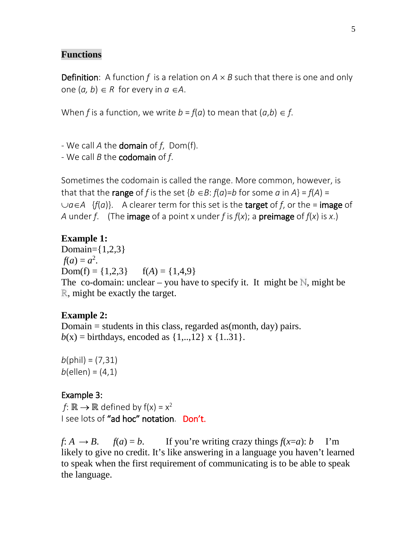## **Functions**

**Definition**: A function f is a relation on  $A \times B$  such that there is one and only one  $(a, b)$  ∈ R for every in  $a ∈ A$ .

When *f* is a function, we write  $b = f(a)$  to mean that  $(a,b) \in f$ .

- We call *A* the domain of *f*, Dom(f).

- We call *B* the codomain of *f*.

Sometimes the codomain is called the range. More common, however, is that that the **range** of *f* is the set  ${b \in B : f(a)=b}$  for some *a* in  $A = f(A) = f(A)$ ∪*a*∈*A* {*f*(*a*)}. A clearer term for this set is the target of *f*, or the = image of *A* under *f*. (The **image** of a point x under *f* is  $f(x)$ ; a **preimage** of  $f(x)$  is x.)

# **Example 1:**

Domain={1,2,3}  $f(a) = a^2$ . Dom(f) =  $\{1,2,3\}$  f(*A*) =  $\{1,4,9\}$ The co-domain: unclear – you have to specify it. It might be  $\mathbb N$ , might be ℝ, might be exactly the target.

# **Example 2:**

Domain  $=$  students in this class, regarded as (month, day) pairs.  $b(x) = \text{birthdays}$ , encoded as  $\{1,..,12\}$  x  $\{1..31\}$ .

 $b$ (phil) = (7,31)  $b$ (ellen) =  $(4,1)$ 

# Example 3:

*f*:  $\mathbb{R} \rightarrow \mathbb{R}$  defined by  $f(x) = x^2$ I see lots of "ad hoc" notation. Don't.

 $f: A \rightarrow B$ .  $f(a) = b$ . If you're writing crazy things  $f(x=a): b$  I'm likely to give no credit. It's like answering in a language you haven't learned to speak when the first requirement of communicating is to be able to speak the language.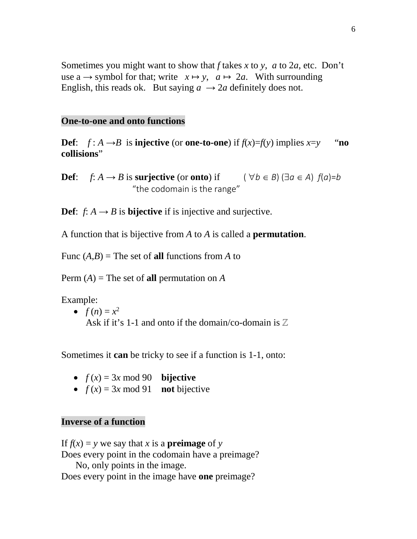Sometimes you might want to show that *f* takes *x* to *y*, *a* to 2*a*, etc. Don't use a  $\rightarrow$  symbol for that; write  $x \mapsto y$ ,  $a \mapsto 2a$ . With surrounding English, this reads ok. But saying  $a \rightarrow 2a$  definitely does not.

#### **One-to-one and onto functions**

**Def**:  $f: A \rightarrow B$  is **injective** (or **one-to-one**) if  $f(x)=f(y)$  implies  $x=y$  "**no collisions**"

**Def**: *f*: *A* → *B* is **surjective** (or **onto**) if  $(\forall b \in B) (\exists a \in A) f(a)=b$ "the codomain is the range"

**Def**:  $f: A \rightarrow B$  is **bijective** if is injective and surjective.

A function that is bijective from *A* to *A* is called a **permutation**.

Func  $(A,B)$  = The set of **all** functions from *A* to

Perm  $(A)$  = The set of **all** permutation on *A* 

Example:

•  $f(n) = x^2$ Ask if it's 1-1 and onto if the domain/co-domain is  $\mathbb Z$ 

Sometimes it **can** be tricky to see if a function is 1-1, onto:

- $f(x) = 3x \mod 90$  **bijective**
- $f(x) = 3x \mod 91$  **not** bijective

### **Inverse of a function**

If  $f(x) = y$  we say that *x* is a **preimage** of *y* Does every point in the codomain have a preimage? No, only points in the image. Does every point in the image have **one** preimage?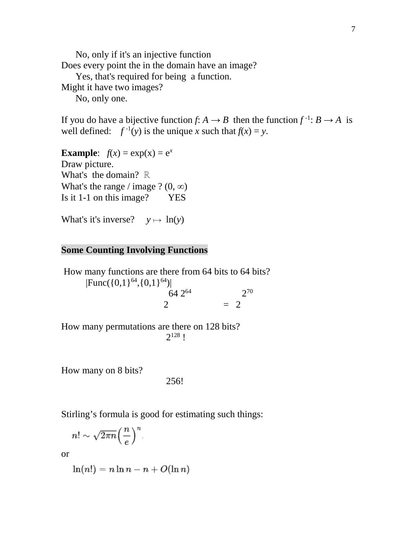No, only if it's an injective function Does every point the in the domain have an image? Yes, that's required for being a function. Might it have two images? No, only one.

If you do have a bijective function *f*:  $A \rightarrow B$  then the function  $f^{-1}$ :  $B \rightarrow A$  is well defined:  $f^{-1}(y)$  is the unique *x* such that  $f(x) = y$ .

**Example:**  $f(x) = \exp(x) = e^x$ Draw picture. What's the domain? ℝ What's the range / image ?  $(0, \infty)$ Is it 1-1 on this image? YES

What's it's inverse?  $y \mapsto \ln(y)$ 

### **Some Counting Involving Functions**

How many functions are there from 64 bits to 64 bits?  $|Func({0,1})^{64}, {0,1})^{64}|$  $64 \; 2^{64}$  2<sup>70</sup>  $2 = 2$ 

How many permutations are there on 128 bits?  $2^{128}$  !

How many on 8 bits?

256!

Stirling's formula is good for estimating such things:

$$
n! \sim \sqrt{2\pi n} \Big(\frac{n}{e}\Big)^n.
$$

or

$$
\ln(n!) = n \ln n - n + O(\ln n)
$$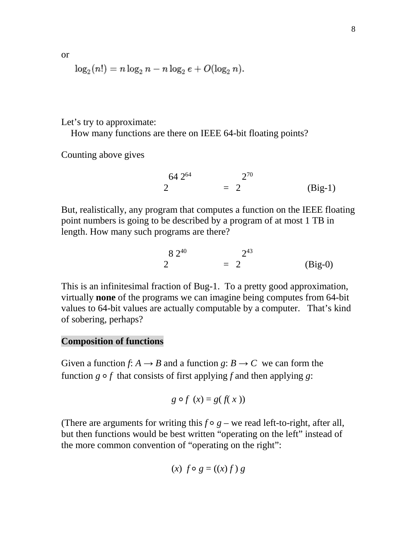or

$$
\log_2(n!) = n \log_2 n - n \log_2 e + O(\log_2 n).
$$

Let's try to approximate:

How many functions are there on IEEE 64-bit floating points?

Counting above gives

$$
2^{64} = 2^{70}
$$
 (Big-1)

But, realistically, any program that computes a function on the IEEE floating point numbers is going to be described by a program of at most 1 TB in length. How many such programs are there?

$$
2^{8\ 2^{40}} = 2^{43}
$$
 (Big-0)

This is an infinitesimal fraction of Bug-1. To a pretty good approximation, virtually **none** of the programs we can imagine being computes from 64-bit values to 64-bit values are actually computable by a computer. That's kind of sobering, perhaps?

### **Composition of functions**

Given a function *f*:  $A \rightarrow B$  and a function *g*:  $B \rightarrow C$  we can form the function  $g \circ f$  that consists of first applying f and then applying  $g$ :

$$
g \circ f(x) = g(f(x))
$$

(There are arguments for writing this  $f \circ g$  – we read left-to-right, after all, but then functions would be best written "operating on the left" instead of the more common convention of "operating on the right":

$$
(x) f \circ g = ((x) f) g
$$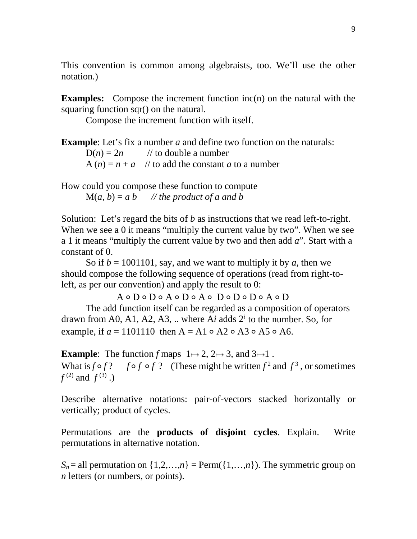This convention is common among algebraists, too. We'll use the other notation.)

**Examples:** Compose the increment function inc(n) on the natural with the squaring function sqr() on the natural.

Compose the increment function with itself.

**Example**: Let's fix a number *a* and define two function on the naturals:  $D(n) = 2n$  // to double a number  $A(n) = n + a$  // to add the constant *a* to a number

How could you compose these function to compute  $M(a, b) = a b$  // the product of a and b

Solution: Let's regard the bits of *b* as instructions that we read left-to-right. When we see a 0 it means "multiply the current value by two". When we see a 1 it means "multiply the current value by two and then add *a*". Start with a constant of 0.

So if  $b = 1001101$ , say, and we want to multiply it by a, then we should compose the following sequence of operations (read from right-toleft, as per our convention) and apply the result to 0:

A ⚬ D ⚬ D ⚬ A ⚬ D ⚬ A ⚬ D ⚬ D ⚬ D ⚬ A ⚬ D

The add function itself can be regarded as a composition of operators drawn from A0, A1, A2, A3, .. where A $i$  adds  $2^{i}$  to the number. So, for example, if  $a = 1101110$  then  $A = A1 \circ A2 \circ A3 \circ A5 \circ A6$ .

**Example**: The function *f* maps  $1 \mapsto 2$  $1 \mapsto 2$ ,  $2 \mapsto 3$ , and  $3 \mapsto 1$ . What is  $f \circ f$ ?  $f \circ f$ ? (These might be written  $f^2$  and  $f^3$ , or sometimes  $f^{(2)}$  and  $f^{(3)}$ .)

Describe alternative notations: pair-of-vectors stacked horizontally or vertically; product of cycles.

Permutations are the **products of disjoint cycles**. Explain. Write permutations in alternative notation.

 $S_n =$  all permutation on  $\{1,2,...,n\} =$  Perm( $\{1,...,n\}$ ). The symmetric group on *n* letters (or numbers, or points).